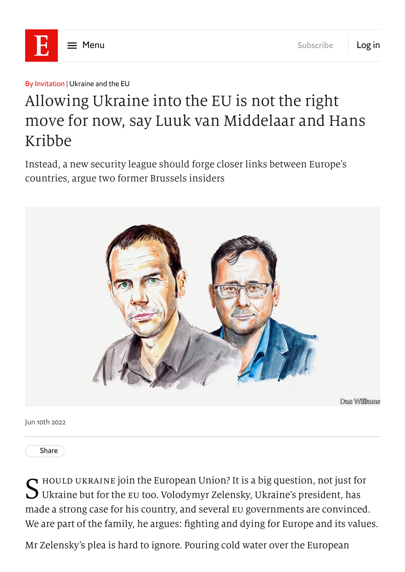

By [Invitation](https://www.economist.com/by-invitation/) | Ukraine and the EU

## Allowing Ukraine into the EU is not the right move for now, say Luuk van Middelaar and Hans Kribbe

Instead, a new security league should forge closer links between Europe's countries, argue two former Brussels insiders



Jun 10th 2022

Share

S HOULD UKRAINE join the European Union? It is a big question, not just for Ukraine but for the EU too. Volodymyr Zelensky, Ukraine's president, has Ukraine but for the eu too. Volodymyr Zelensky, Ukraine's president, has made a strong case for his country, and several eu governments are convinced. We are part of the family, he argues: fighting and dying for Europe and its values.

Mr Zelensky's plea is hard to ignore. Pouring cold water over the European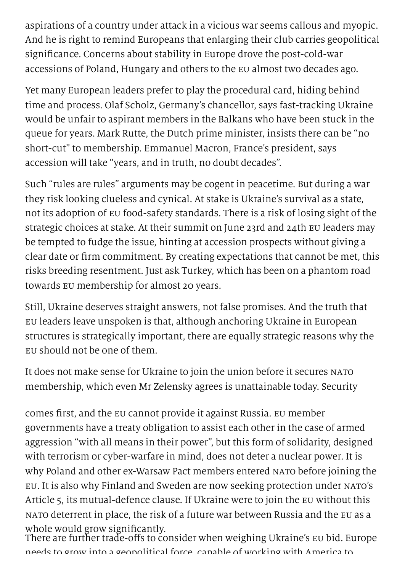aspirations of a country under attack in a vicious war seems callous and myopic. And he is right to remind Europeans that enlarging their club carries geopolitical significance. Concerns about stability in Europe drove the post-cold-war accessions of Poland, Hungary and others to the eu almost two decades ago.

Yet many European leaders prefer to play the procedural card, hiding behind time and process. Olaf Scholz, Germany's chancellor, says fast-tracking Ukraine would be unfair to aspirant members in the Balkans who have been stuck in the queue for years. Mark Rutte, the Dutch prime minister, insists there can be "no short-cut" to membership. Emmanuel Macron, France's president, says accession will take "years, and in truth, no doubt decades".

Such "rules are rules" arguments may be cogent in peacetime. But during a war they risk looking clueless and cynical. At stake is Ukraine's survival as a state, not its adoption of eu food-safety standards. There is a risk of losing sight of the strategic choices at stake. At their summit on June 23rd and 24th eu leaders may be tempted to fudge the issue, hinting at accession prospects without giving a clear date or firm commitment. By creating expectations that cannot be met, this risks breeding resentment. Just ask Turkey, which has been on a phantom road towards eu membership for almost 20 years.

Still, Ukraine deserves straight answers, not false promises. And the truth that eu leaders leave unspoken is that, although anchoring Ukraine in European structures is strategically important, there are equally strategic reasons why the eu should not be one of them.

It does not make sense for Ukraine to join the union before it secures nato membership, which even Mr Zelensky agrees is unattainable today. Security

comes first, and the eu cannot provide it against Russia. eu member governments have a treaty obligation to assist each other in the case of armed aggression "with all means in their power", but this form of solidarity, designed with terrorism or cyber-warfare in mind, does not deter a nuclear power. It is why Poland and other ex-Warsaw Pact members entered nato before joining the eu. It is also why Finland and Sweden are now seeking protection under nato's Article 5, its mutual-defence clause. If Ukraine were to join the eu without this nato deterrent in place, the risk of a future war between Russia and the eu as a whole would grow significantly.

There are further trade-offs to consider when weighing Ukraine's eu bid. Europe needs to grow into a geopolitical force capable of working with America to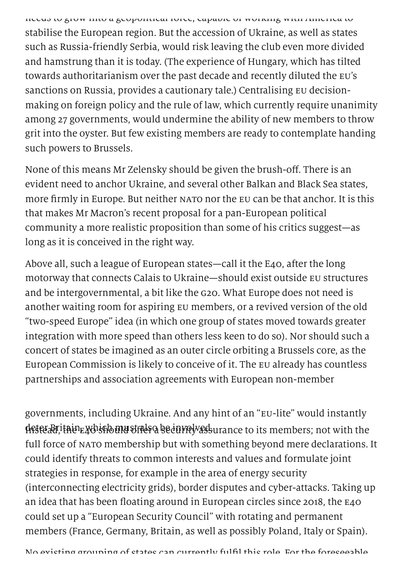needs to grow into a geopolitical force, capable of working with America to stabilise the European region. But the accession of Ukraine, as well as states such as Russia-friendly Serbia, would risk leaving the club even more divided and hamstrung than it is today. (The experience of Hungary, which has tilted towards authoritarianism over the past decade and recently diluted the eu's sanctions on Russia, provides a cautionary tale.) Centralising eu decisionmaking on foreign policy and the rule of law, which currently require unanimity among 27 governments, would undermine the ability of new members to throw grit into the oyster. But few existing members are ready to contemplate handing such powers to Brussels.

None of this means Mr Zelensky should be given the brush-off. There is an evident need to anchor Ukraine, and several other Balkan and Black Sea states, more firmly in Europe. But neither NATO nor the EU can be that anchor. It is this that makes Mr Macron's recent proposal for a pan-European political community a more realistic proposition than some of his critics suggest—as long as it is conceived in the right way.

Above all, such a league of European states—call it the E40, after the long motorway that connects Calais to Ukraine—should exist outside eu structures and be intergovernmental, a bit like the g20. What Europe does not need is another waiting room for aspiring eu members, or a revived version of the old "two-speed Europe" idea (in which one group of states moved towards greater integration with more speed than others less keen to do so). Nor should such a concert of states be imagined as an outer circle orbiting a Brussels core, as the European Commission is likely to conceive of it. The eu already has countless partnerships and association agreements with European non-member

governments, including Ukraine. And any hint of an "eu-lite" would instantly deter Britain, which must also been weden and the east of its members; not with the full force of nato membership but with something beyond mere declarations. It could identify threats to common interests and values and formulate joint strategies in response, for example in the area of energy security (interconnecting electricity grids), border disputes and cyber-attacks. Taking up an idea that has been floating around in European circles since 2018, the e40 could set up a "European Security Council" with rotating and permanent members (France, Germany, Britain, as well as possibly Poland, Italy or Spain).

No existing grouping of states can currently fulfil this role For the foreseeable